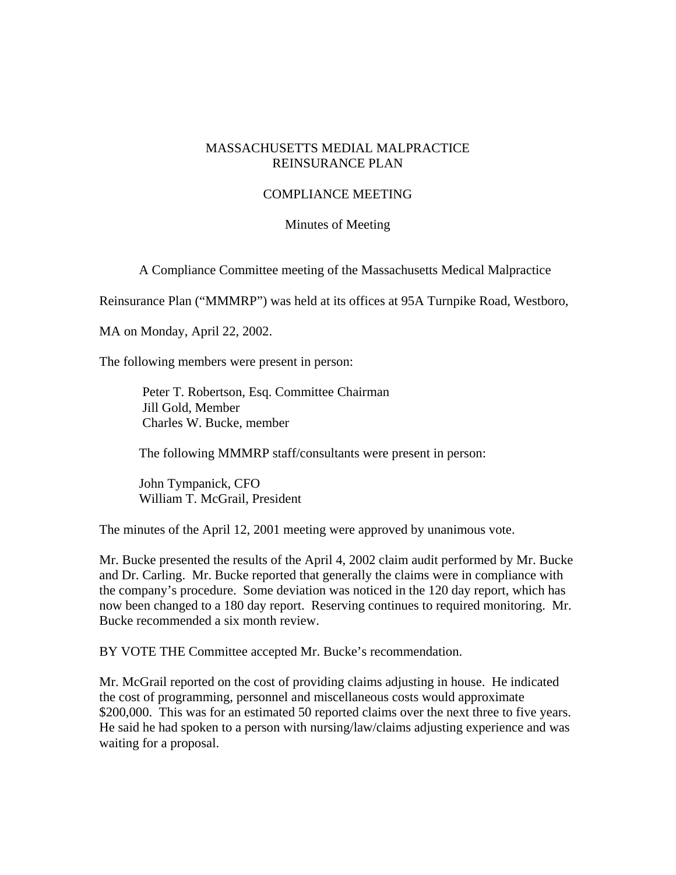## MASSACHUSETTS MEDIAL MALPRACTICE REINSURANCE PLAN

## COMPLIANCE MEETING

## Minutes of Meeting

A Compliance Committee meeting of the Massachusetts Medical Malpractice

Reinsurance Plan ("MMMRP") was held at its offices at 95A Turnpike Road, Westboro,

MA on Monday, April 22, 2002.

The following members were present in person:

 Peter T. Robertson, Esq. Committee Chairman Jill Gold, Member Charles W. Bucke, member

The following MMMRP staff/consultants were present in person:

 John Tympanick, CFO William T. McGrail, President

The minutes of the April 12, 2001 meeting were approved by unanimous vote.

Mr. Bucke presented the results of the April 4, 2002 claim audit performed by Mr. Bucke and Dr. Carling. Mr. Bucke reported that generally the claims were in compliance with the company's procedure. Some deviation was noticed in the 120 day report, which has now been changed to a 180 day report. Reserving continues to required monitoring. Mr. Bucke recommended a six month review.

BY VOTE THE Committee accepted Mr. Bucke's recommendation.

Mr. McGrail reported on the cost of providing claims adjusting in house. He indicated the cost of programming, personnel and miscellaneous costs would approximate \$200,000. This was for an estimated 50 reported claims over the next three to five years. He said he had spoken to a person with nursing/law/claims adjusting experience and was waiting for a proposal.